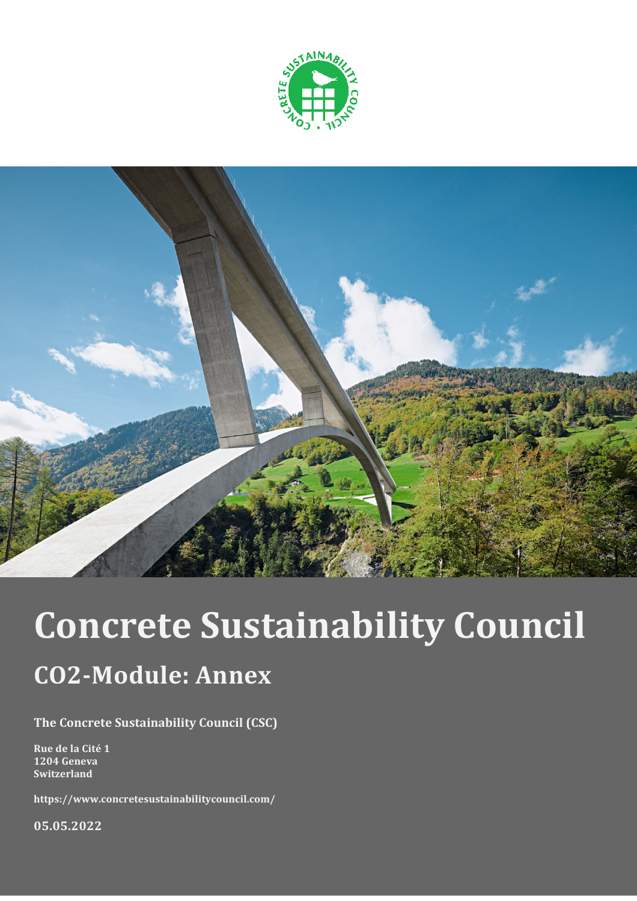



# **Concrete Sustainability Council**

## **CO2-Module: Annex**

**The Concrete Sustainability Council (CSC)**

**Rue de la Cité 1 1204 Geneva Switzerland**

**https://www.concretesustainabilitycouncil.com/**

**05.05.2022**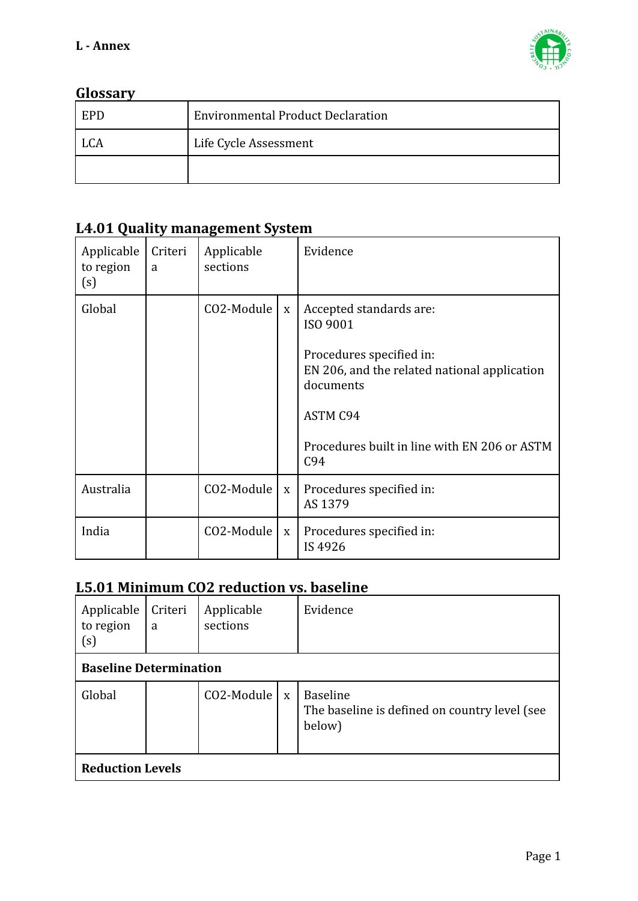

#### **Glossary**

| <b>EPD</b> | <b>Environmental Product Declaration</b> |
|------------|------------------------------------------|
| LCA        | Life Cycle Assessment                    |
|            |                                          |

#### **L4.01 Quality management System**

| Applicable<br>to region<br>(s) | Criteri<br>a | Applicable<br>sections |             | Evidence                                                                                                                                                                                               |
|--------------------------------|--------------|------------------------|-------------|--------------------------------------------------------------------------------------------------------------------------------------------------------------------------------------------------------|
| Global                         |              | CO2-Module             | $\mathbf X$ | Accepted standards are:<br>ISO 9001<br>Procedures specified in:<br>EN 206, and the related national application<br>documents<br><b>ASTM C94</b><br>Procedures built in line with EN 206 or ASTM<br>C94 |
| Australia                      |              | CO2-Module             | $\mathbf X$ | Procedures specified in:<br>AS 1379                                                                                                                                                                    |
| India                          |              | CO2-Module             | $\mathbf X$ | Procedures specified in:<br>IS 4926                                                                                                                                                                    |

### **L5.01 Minimum CO2 reduction vs. baseline**

| Applicable<br>to region<br>(s) | Criteri<br>a | Applicable<br>sections |  | Evidence                                                                   |  |  |  |
|--------------------------------|--------------|------------------------|--|----------------------------------------------------------------------------|--|--|--|
| <b>Baseline Determination</b>  |              |                        |  |                                                                            |  |  |  |
| Global                         |              | $CO2$ -Module   x      |  | <b>Baseline</b><br>The baseline is defined on country level (see<br>below) |  |  |  |
| <b>Reduction Levels</b>        |              |                        |  |                                                                            |  |  |  |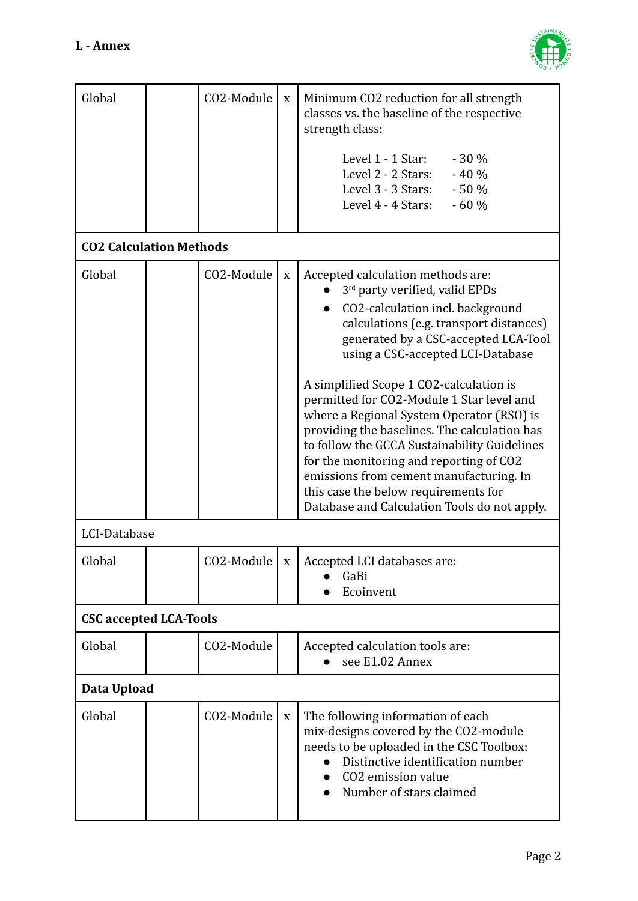

| Global                         | CO2-Module | $\mathbf X$ | Minimum CO2 reduction for all strength<br>classes vs. the baseline of the respective<br>strength class:                                                                                                                                                                                                                                                                                                                                                                                                                                                                                                                                            |  |  |  |  |
|--------------------------------|------------|-------------|----------------------------------------------------------------------------------------------------------------------------------------------------------------------------------------------------------------------------------------------------------------------------------------------------------------------------------------------------------------------------------------------------------------------------------------------------------------------------------------------------------------------------------------------------------------------------------------------------------------------------------------------------|--|--|--|--|
|                                |            |             | Level 1 - 1 Star:<br>$-30%$<br>Level 2 - 2 Stars:<br>$-40%$<br>$-50%$<br>Level 3 - 3 Stars:<br>Level 4 - 4 Stars:<br>$-60%$                                                                                                                                                                                                                                                                                                                                                                                                                                                                                                                        |  |  |  |  |
| <b>CO2 Calculation Methods</b> |            |             |                                                                                                                                                                                                                                                                                                                                                                                                                                                                                                                                                                                                                                                    |  |  |  |  |
| Global                         | CO2-Module | $\mathbf X$ | Accepted calculation methods are:<br>3rd party verified, valid EPDs<br>CO2-calculation incl. background<br>calculations (e.g. transport distances)<br>generated by a CSC-accepted LCA-Tool<br>using a CSC-accepted LCI-Database<br>A simplified Scope 1 CO2-calculation is<br>permitted for CO2-Module 1 Star level and<br>where a Regional System Operator (RSO) is<br>providing the baselines. The calculation has<br>to follow the GCCA Sustainability Guidelines<br>for the monitoring and reporting of CO2<br>emissions from cement manufacturing. In<br>this case the below requirements for<br>Database and Calculation Tools do not apply. |  |  |  |  |
| LCI-Database                   |            |             |                                                                                                                                                                                                                                                                                                                                                                                                                                                                                                                                                                                                                                                    |  |  |  |  |
| Global                         |            |             | CO2-Module $\vert x \vert$ Accepted LCI databases are:<br>GaBi<br>Ecoinvent                                                                                                                                                                                                                                                                                                                                                                                                                                                                                                                                                                        |  |  |  |  |
| <b>CSC accepted LCA-Tools</b>  |            |             |                                                                                                                                                                                                                                                                                                                                                                                                                                                                                                                                                                                                                                                    |  |  |  |  |
| Global                         | CO2-Module |             | Accepted calculation tools are:<br>see E1.02 Annex                                                                                                                                                                                                                                                                                                                                                                                                                                                                                                                                                                                                 |  |  |  |  |
| Data Upload                    |            |             |                                                                                                                                                                                                                                                                                                                                                                                                                                                                                                                                                                                                                                                    |  |  |  |  |
| Global                         | CO2-Module | $\mathbf X$ | The following information of each<br>mix-designs covered by the CO2-module<br>needs to be uploaded in the CSC Toolbox:<br>Distinctive identification number<br>CO <sub>2</sub> emission value<br>Number of stars claimed                                                                                                                                                                                                                                                                                                                                                                                                                           |  |  |  |  |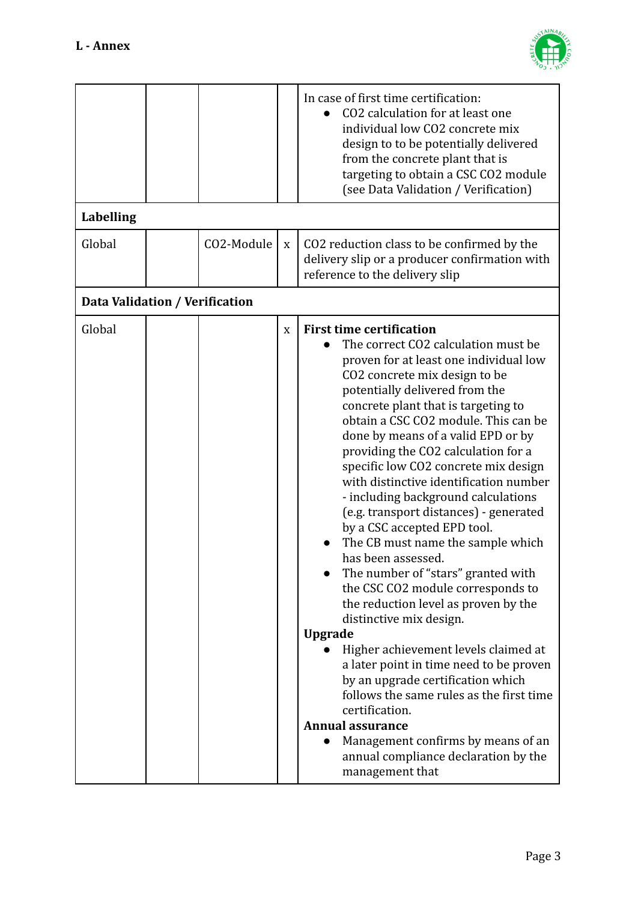

|                                |            |             | In case of first time certification:<br>CO2 calculation for at least one<br>individual low CO2 concrete mix<br>design to to be potentially delivered<br>from the concrete plant that is<br>targeting to obtain a CSC CO2 module<br>(see Data Validation / Verification)                                                                                                                                                                                                                                                                                                                                                                                                                                                                                                                                                                                                                                                                                                                                                                                                                                    |
|--------------------------------|------------|-------------|------------------------------------------------------------------------------------------------------------------------------------------------------------------------------------------------------------------------------------------------------------------------------------------------------------------------------------------------------------------------------------------------------------------------------------------------------------------------------------------------------------------------------------------------------------------------------------------------------------------------------------------------------------------------------------------------------------------------------------------------------------------------------------------------------------------------------------------------------------------------------------------------------------------------------------------------------------------------------------------------------------------------------------------------------------------------------------------------------------|
| <b>Labelling</b>               |            |             |                                                                                                                                                                                                                                                                                                                                                                                                                                                                                                                                                                                                                                                                                                                                                                                                                                                                                                                                                                                                                                                                                                            |
| Global                         | CO2-Module | $\mathbf X$ | CO2 reduction class to be confirmed by the<br>delivery slip or a producer confirmation with<br>reference to the delivery slip                                                                                                                                                                                                                                                                                                                                                                                                                                                                                                                                                                                                                                                                                                                                                                                                                                                                                                                                                                              |
| Data Validation / Verification |            |             |                                                                                                                                                                                                                                                                                                                                                                                                                                                                                                                                                                                                                                                                                                                                                                                                                                                                                                                                                                                                                                                                                                            |
| Global                         |            | X           | <b>First time certification</b><br>The correct CO2 calculation must be<br>proven for at least one individual low<br>CO <sub>2</sub> concrete mix design to be<br>potentially delivered from the<br>concrete plant that is targeting to<br>obtain a CSC CO2 module. This can be<br>done by means of a valid EPD or by<br>providing the CO2 calculation for a<br>specific low CO2 concrete mix design<br>with distinctive identification number<br>- including background calculations<br>(e.g. transport distances) - generated<br>by a CSC accepted EPD tool.<br>The CB must name the sample which<br>has been assessed.<br>The number of "stars" granted with<br>the CSC CO2 module corresponds to<br>the reduction level as proven by the<br>distinctive mix design.<br><b>Upgrade</b><br>Higher achievement levels claimed at<br>a later point in time need to be proven<br>by an upgrade certification which<br>follows the same rules as the first time<br>certification.<br><b>Annual assurance</b><br>Management confirms by means of an<br>annual compliance declaration by the<br>management that |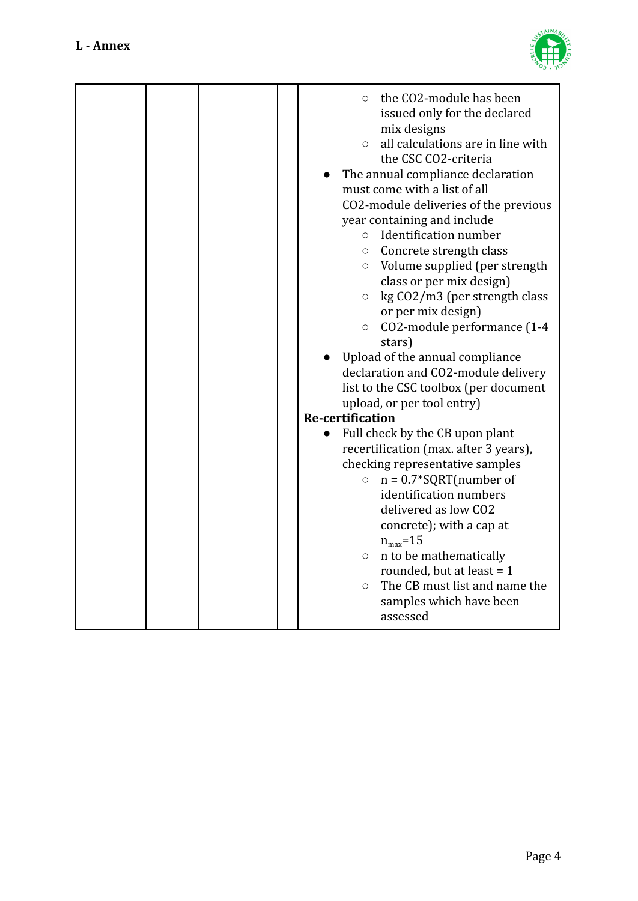

|  | $\bigcirc$<br>$\circ$<br>$\circ$<br>$\circ$<br>$\circ$<br>$\circ$ | the CO2-module has been<br>issued only for the declared<br>mix designs<br>all calculations are in line with<br>the CSC CO2-criteria<br>The annual compliance declaration<br>must come with a list of all<br>CO2-module deliveries of the previous<br>year containing and include<br>Identification number<br>Concrete strength class<br>o Volume supplied (per strength<br>class or per mix design)<br>kg CO2/m3 (per strength class<br>or per mix design)<br>CO2-module performance (1-4<br>stars)<br>Upload of the annual compliance<br>declaration and CO2-module delivery<br>list to the CSC toolbox (per document |
|--|-------------------------------------------------------------------|------------------------------------------------------------------------------------------------------------------------------------------------------------------------------------------------------------------------------------------------------------------------------------------------------------------------------------------------------------------------------------------------------------------------------------------------------------------------------------------------------------------------------------------------------------------------------------------------------------------------|
|  |                                                                   | upload, or per tool entry)                                                                                                                                                                                                                                                                                                                                                                                                                                                                                                                                                                                             |
|  | <b>Re-certification</b>                                           |                                                                                                                                                                                                                                                                                                                                                                                                                                                                                                                                                                                                                        |
|  | $\bigcirc$<br>$\circ$                                             | Full check by the CB upon plant<br>recertification (max. after 3 years),<br>checking representative samples<br>$n = 0.7*SQRT$ (number of<br>identification numbers<br>delivered as low CO2<br>concrete); with a cap at<br>$n_{max}$ =15<br>$\circ$ n to be mathematically<br>rounded, but at least = $1$<br>The CB must list and name the<br>samples which have been<br>assessed                                                                                                                                                                                                                                       |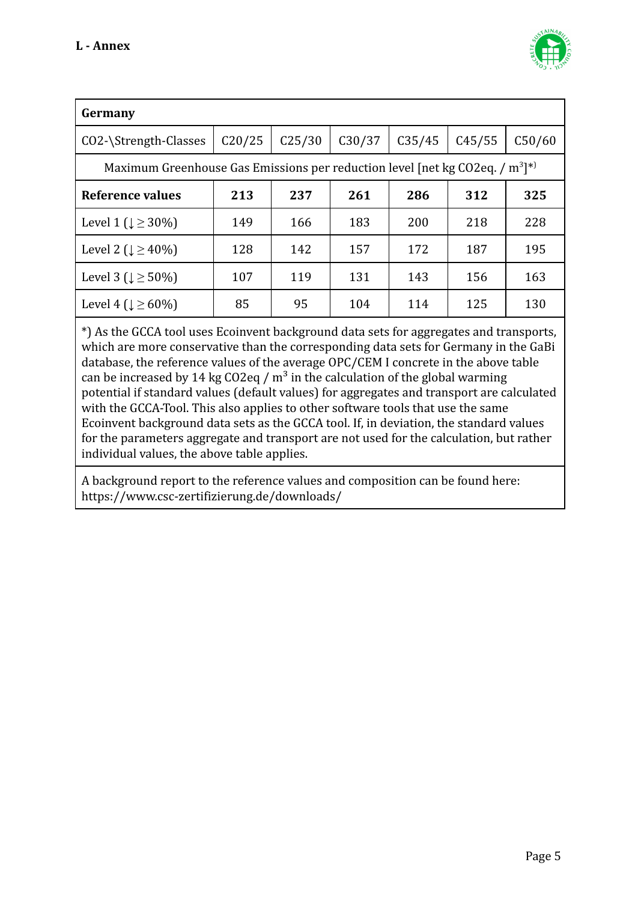

| Germany                                                                         |        |                    |        |        |        |        |  |  |  |  |
|---------------------------------------------------------------------------------|--------|--------------------|--------|--------|--------|--------|--|--|--|--|
| CO2-\Strength-Classes                                                           | C20/25 | C <sub>25/30</sub> | C30/37 | C35/45 | C45/55 | C50/60 |  |  |  |  |
| Maximum Greenhouse Gas Emissions per reduction level [net kg CO2eq. / $m^3$ ]*) |        |                    |        |        |        |        |  |  |  |  |
| Reference values                                                                | 213    | 237                | 261    | 286    | 312    | 325    |  |  |  |  |
| Level 1 ( $\downarrow \geq 30\%$ )                                              | 149    | 166                | 183    | 200    | 218    | 228    |  |  |  |  |
| Level 2 ( $\downarrow \geq 40\%$ )                                              | 128    | 142                | 157    | 172    | 187    | 195    |  |  |  |  |
| Level 3 ( $\downarrow \geq 50\%$ )                                              | 107    | 119                | 131    | 143    | 156    | 163    |  |  |  |  |
| Level 4 ( $\downarrow \geq 60\%$ )                                              | 85     | 95                 | 104    | 114    | 125    | 130    |  |  |  |  |
|                                                                                 |        |                    |        |        |        |        |  |  |  |  |

\*) As the GCCA tool uses Ecoinvent background data sets for aggregates and transports, which are more conservative than the corresponding data sets for Germany in the GaBi database, the reference values of the average OPC/CEM I concrete in the above table can be increased by 14 kg CO2eq /  $m<sup>3</sup>$  in the calculation of the global warming potential if standard values (default values) for aggregates and transport are calculated with the GCCA-Tool. This also applies to other software tools that use the same Ecoinvent background data sets as the GCCA tool. If, in deviation, the standard values for the parameters aggregate and transport are not used for the calculation, but rather individual values, the above table applies.

A background report to the reference values and composition can be found here: https://www.csc-zertifizierung.de/downloads/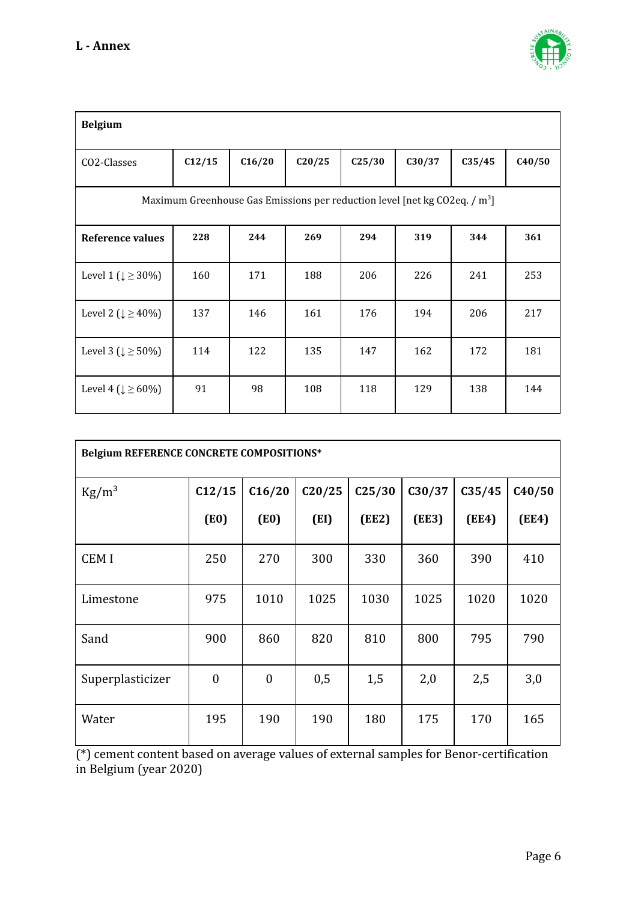

| <b>Belgium</b>                                                                         |        |        |        |                    |        |        |        |  |  |
|----------------------------------------------------------------------------------------|--------|--------|--------|--------------------|--------|--------|--------|--|--|
| CO2-Classes                                                                            | C12/15 | C16/20 | C20/25 | C <sub>25/30</sub> | C30/37 | C35/45 | C40/50 |  |  |
| Maximum Greenhouse Gas Emissions per reduction level [net kg CO2eq. / m <sup>3</sup> ] |        |        |        |                    |        |        |        |  |  |
| Reference values                                                                       | 228    | 244    | 269    | 294                | 319    | 344    | 361    |  |  |
| Level 1 ( $\downarrow \geq 30\%$ )                                                     | 160    | 171    | 188    | 206                | 226    | 241    | 253    |  |  |
| Level 2 ( $\downarrow \geq 40\%$ )                                                     | 137    | 146    | 161    | 176                | 194    | 206    | 217    |  |  |
| Level 3 ( $\downarrow \geq 50\%$ )                                                     | 114    | 122    | 135    | 147                | 162    | 172    | 181    |  |  |
| Level 4 ( $\downarrow \ge 60\%$ )                                                      | 91     | 98     | 108    | 118                | 129    | 138    | 144    |  |  |

| Belgium REFERENCE CONCRETE COMPOSITIONS* |                |                |        |                    |        |        |        |  |  |
|------------------------------------------|----------------|----------------|--------|--------------------|--------|--------|--------|--|--|
| $\text{Kg/m}^3$                          | C12/15         | C16/20         | C20/25 | C <sub>25/30</sub> | C30/37 | C35/45 | C40/50 |  |  |
|                                          | (E0)           | (E0)           | (EI)   | (EE2)              | (EE3)  | (EE4)  | (EE4)  |  |  |
| <b>CEMI</b>                              | 250            | 270            | 300    | 330                | 360    | 390    | 410    |  |  |
| Limestone                                | 975            | 1010           | 1025   | 1030               | 1025   | 1020   | 1020   |  |  |
| Sand                                     | 900            | 860            | 820    | 810                | 800    | 795    | 790    |  |  |
| Superplasticizer                         | $\overline{0}$ | $\overline{0}$ | 0,5    | 1,5                | 2,0    | 2,5    | 3,0    |  |  |
| Water                                    | 195            | 190            | 190    | 180                | 175    | 170    | 165    |  |  |

(\*) cement content based on average values of external samples for Benor-certification in Belgium (year 2020)